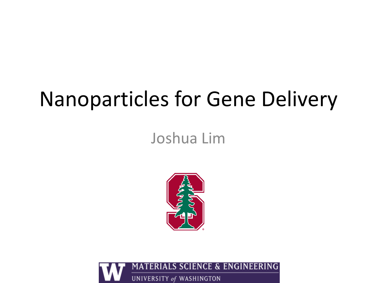## Nanoparticles for Gene Delivery

Joshua Lim



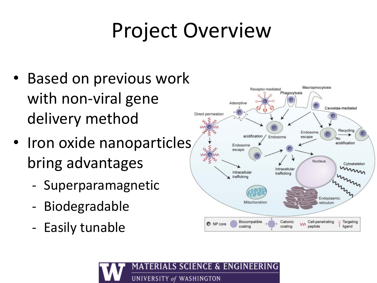# Project Overview

- Based on previous work with non-viral gene delivery method
- Iron oxide nanoparticles bring advantages
	- Superparamagnetic
	- Biodegradable
	- Easily tunable



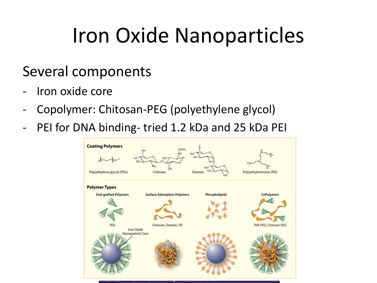# Iron Oxide Nanoparticles

#### Several components

- Iron oxide core
- Copolymer: Chitosan-PEG (polyethylene glycol)
- PEI for DNA binding- tried 1.2 kDa and 25 kDa PEI

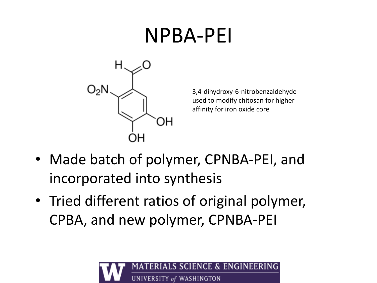#### NPBA-PEI



3,4-dihydroxy-6-nitrobenzaldehyde used to modify chitosan for higher affinity for iron oxide core

- Made batch of polymer, CPNBA-PEI, and incorporated into synthesis
- Tried different ratios of original polymer, CPBA, and new polymer, CPNBA-PEI

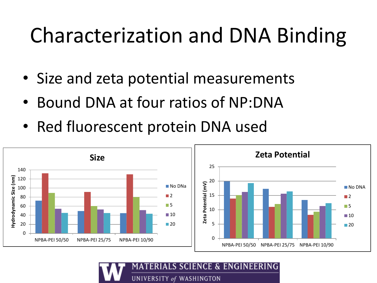# Characterization and DNA Binding

- Size and zeta potential measurements
- Bound DNA at four ratios of NP:DNA
- Red fluorescent protein DNA used



S SCIENCE & ENGINEERI UNIVERSITY of WASHINGTON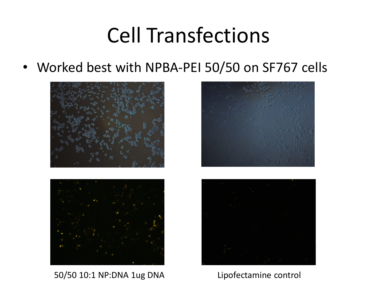### Cell Transfections

• Worked best with NPBA-PEI 50/50 on SF767 cells





50/50 10:1 NP:DNA 1ug DNA Lipofectamine control



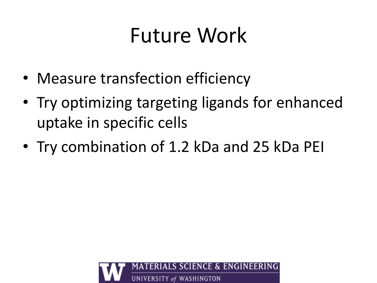# Future Work

- Measure transfection efficiency
- Try optimizing targeting ligands for enhanced uptake in specific cells
- Try combination of 1.2 kDa and 25 kDa PEI